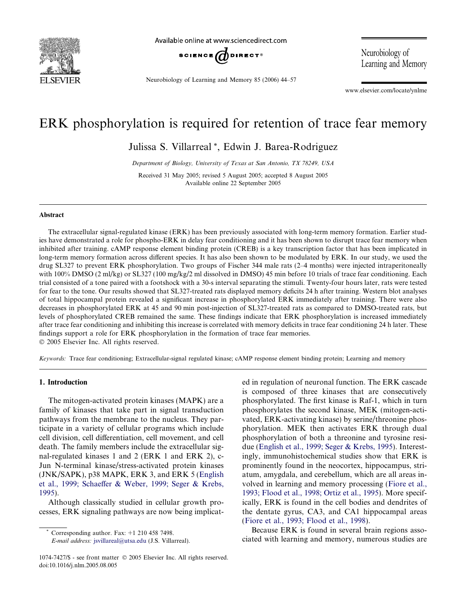

Available online at www.sciencedirect.com



Neurobiology of Learning and Memory 85 (2006) 44–57

Neurobiology of Learning and Memory

www.elsevier.com/locate/ynlme

## ERK phosphorylation is required for retention of trace fear memory

Julissa S. Villarreal \*, Edwin J. Barea-Rodriguez

Department of Biology, University of Texas at San Antonio, TX 78249, USA

Received 31 May 2005; revised 5 August 2005; accepted 8 August 2005 Available online 22 September 2005

## Abstract

The extracellular signal-regulated kinase (ERK) has been previously associated with long-term memory formation. Earlier studies have demonstrated a role for phospho-ERK in delay fear conditioning and it has been shown to disrupt trace fear memory when inhibited after training. cAMP response element binding protein (CREB) is a key transcription factor that has been implicated in long-term memory formation across different species. It has also been shown to be modulated by ERK. In our study, we used the drug SL327 to prevent ERK phosphorylation. Two groups of Fischer 344 male rats (2–4 months) were injected intraperitoneally with 100% DMSO (2 ml/kg) or SL327 (100 mg/kg/2 ml dissolved in DMSO) 45 min before 10 trials of trace fear conditioning. Each trial consisted of a tone paired with a footshock with a 30-s interval separating the stimuli. Twenty-four hours later, rats were tested for fear to the tone. Our results showed that SL327-treated rats displayed memory deficits 24 h after training. Western blot analyses of total hippocampal protein revealed a significant increase in phosphorylated ERK immediately after training. There were also decreases in phosphorylated ERK at 45 and 90 min post-injection of SL327-treated rats as compared to DMSO-treated rats, but levels of phosphorylated CREB remained the same. These findings indicate that ERK phosphorylation is increased immediately after trace fear conditioning and inhibiting this increase is correlated with memory deficits in trace fear conditioning 24 h later. These findings support a role for ERK phosphorylation in the formation of trace fear memories. 2005 Elsevier Inc. All rights reserved.

Keywords: Trace fear conditioning; Extracellular-signal regulated kinase; cAMP response element binding protein; Learning and memory

## 1. Introduction

The mitogen-activated protein kinases (MAPK) are a family of kinases that take part in signal transduction pathways from the membrane to the nucleus. They participate in a variety of cellular programs which include cell division, cell differentiation, cell movement, and cell death. The family members include the extracellular signal-regulated kinases 1 and 2 (ERK 1 and ERK 2), c-Jun N-terminal kinase/stress-activated protein kinases (JNK/SAPK), p38 MAPK, ERK 3, and ERK 5 ([English](#page--1-0) [et al., 1999; Schaeffer & Weber, 1999; Seger & Krebs,](#page--1-0) [1995\)](#page--1-0).

Although classically studied in cellular growth processes, ERK signaling pathways are now being implicat-

Corresponding author. Fax:  $+1$  210 458 7498.

E-mail address: [jsvillareal@utsa.edu](mailto:jsvillareal@utsa.edu) (J.S. Villarreal).

ed in regulation of neuronal function. The ERK cascade is composed of three kinases that are consecutively phosphorylated. The first kinase is Raf-1, which in turn phosphorylates the second kinase, MEK (mitogen-activated, ERK-activating kinase) by serine/threonine phosphorylation. MEK then activates ERK through dual phosphorylation of both a threonine and tyrosine residue [\(English et al., 1999; Seger & Krebs, 1995](#page--1-0)). Interestingly, immunohistochemical studies show that ERK is prominently found in the neocortex, hippocampus, striatum, amygdala, and cerebellum, which are all areas involved in learning and memory processing ([Fiore et al.,](#page--1-0) [1993; Flood et al., 1998; Ortiz et al., 1995](#page--1-0)). More specifically, ERK is found in the cell bodies and dendrites of the dentate gyrus, CA3, and CA1 hippocampal areas ([Fiore et al., 1993; Flood et al., 1998](#page--1-0)).

Because ERK is found in several brain regions associated with learning and memory, numerous studies are

<sup>1074-7427/\$ -</sup> see front matter © 2005 Elsevier Inc. All rights reserved. doi:10.1016/j.nlm.2005.08.005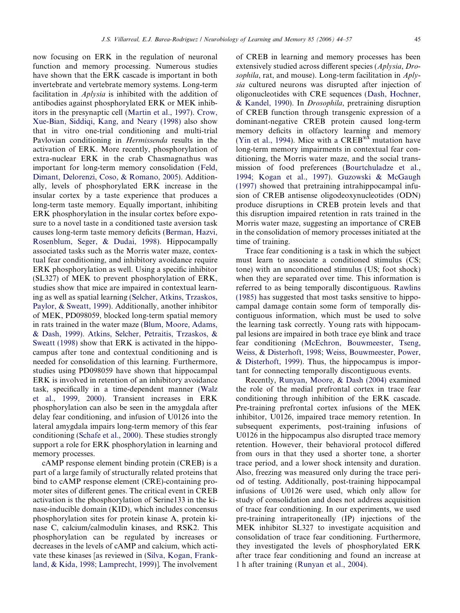now focusing on ERK in the regulation of neuronal function and memory processing. Numerous studies have shown that the ERK cascade is important in both invertebrate and vertebrate memory systems. Long-term facilitation in Aplysia is inhibited with the addition of antibodies against phosphorylated ERK or MEK inhibitors in the presynaptic cell [\(Martin et al., 1997\)](#page--1-0). [Crow,](#page--1-0) [Xue-Bian, Siddiqi, Kang, and Neary \(1998\)](#page--1-0) also show that in vitro one-trial conditioning and multi-trial Pavlovian conditioning in Hermissenda results in the activation of ERK. More recently, phosphorylation of extra-nuclear ERK in the crab Chasmagnathus was important for long-term memory consolidation ([Feld,](#page--1-0) [Dimant, Delorenzi, Coso, & Romano, 2005\)](#page--1-0). Additionally, levels of phosphorylated ERK increase in the insular cortex by a taste experience that produces a long-term taste memory. Equally important, inhibiting ERK phosphorylation in the insular cortex before exposure to a novel taste in a conditioned taste aversion task causes long-term taste memory deficits [\(Berman, Hazvi,](#page--1-0) [Rosenblum, Seger, & Dudai, 1998](#page--1-0)). Hippocampally associated tasks such as the Morris water maze, contextual fear conditioning, and inhibitory avoidance require ERK phosphorylation as well. Using a specific inhibitor (SL327) of MEK to prevent phosphorylation of ERK, studies show that mice are impaired in contextual learning as well as spatial learning ([Selcher, Atkins, Trzaskos,](#page--1-0) [Paylor, & Sweatt, 1999](#page--1-0)). Additionally, another inhibitor of MEK, PD098059, blocked long-term spatial memory in rats trained in the water maze ([Blum, Moore, Adams,](#page--1-0) [& Dash, 1999\). Atkins, Selcher, Petraitis, Trzaskos, &](#page--1-0) [Sweatt \(1998\)](#page--1-0) show that ERK is activated in the hippocampus after tone and contextual conditioning and is needed for consolidation of this learning. Furthermore, studies using PD098059 have shown that hippocampal ERK is involved in retention of an inhibitory avoidance task, specifically in a time-dependent manner ([Walz](#page--1-0) [et al., 1999, 2000\)](#page--1-0). Transient increases in ERK phosphorylation can also be seen in the amygdala after delay fear conditioning, and infusion of U0126 into the lateral amygdala impairs long-term memory of this fear conditioning [\(Schafe et al., 2000](#page--1-0)). These studies strongly support a role for ERK phosphorylation in learning and memory processes.

cAMP response element binding protein (CREB) is a part of a large family of structurally related proteins that bind to cAMP response element (CRE)-containing promoter sites of different genes. The critical event in CREB activation is the phosphorylation of Serine133 in the kinase-inducible domain (KID), which includes concensus phosphorylation sites for protein kinase A, protein kinase C, calcium/calmodulin kinases, and RSK2. This phosphorylation can be regulated by increases or decreases in the levels of cAMP and calcium, which activate these kinases [as reviewed in [\(Silva, Kogan, Frank](#page--1-0)[land, & Kida, 1998; Lamprecht, 1999\)](#page--1-0)]. The involvement

of CREB in learning and memory processes has been extensively studied across different species (Aplysia, Drosophila, rat, and mouse). Long-term facilitation in Aplysia cultured neurons was disrupted after injection of oligonucleotides with CRE sequences [\(Dash, Hochner,](#page--1-0) [& Kandel, 1990\)](#page--1-0). In Drosophila, pretraining disruption of CREB function through transgenic expression of a dominant-negative CREB protein caused long-term memory deficits in olfactory learning and memory ([Yin et al., 1994](#page--1-0)). Mice with a  $CREB^{\alpha\overline{\Delta}}$  mutation have long-term memory impairments in contextual fear conditioning, the Morris water maze, and the social transmission of food preferences ([Bourtchuladze et al.,](#page--1-0) [1994; Kogan et al., 1997\)](#page--1-0). [Guzowski & McGaugh](#page--1-0) [\(1997\)](#page--1-0) showed that pretraining intrahippocampal infusion of CREB antisense oligodeoxynucleotides (ODN) produce disruptions in CREB protein levels and that this disruption impaired retention in rats trained in the Morris water maze, suggesting an importance of CREB in the consolidation of memory processes initiated at the time of training.

Trace fear conditioning is a task in which the subject must learn to associate a conditioned stimulus (CS; tone) with an unconditioned stimulus (US; foot shock) when they are separated over time. This information is referred to as being temporally discontiguous. [Rawlins](#page--1-0) [\(1985\)](#page--1-0) has suggested that most tasks sensitive to hippocampal damage contain some form of temporally discontiguous information, which must be used to solve the learning task correctly. Young rats with hippocampal lesions are impaired in both trace eye blink and trace fear conditioning ([McEchron, Bouwmeester, Tseng,](#page--1-0) [Weiss, & Disterhoft, 1998; Weiss, Bouwmeester, Power,](#page--1-0) [& Disterhoft, 1999](#page--1-0)). Thus, the hippocampus is important for connecting temporally discontiguous events.

Recently, [Runyan, Moore, & Dash \(2004\)](#page--1-0) examined the role of the medial prefrontal cortex in trace fear conditioning through inhibition of the ERK cascade. Pre-training prefrontal cortex infusions of the MEK inhibitor, U0126, impaired trace memory retention. In subsequent experiments, post-training infusions of U0126 in the hippocampus also disrupted trace memory retention. However, their behavioral protocol differed from ours in that they used a shorter tone, a shorter trace period, and a lower shock intensity and duration. Also, freezing was measured only during the trace period of testing. Additionally, post-training hippocampal infusions of U0126 were used, which only allow for study of consolidation and does not address acquisition of trace fear conditioning. In our experiments, we used pre-training intraperitoneally (IP) injections of the MEK inhibitor SL327 to investigate acquisition and consolidation of trace fear conditioning. Furthermore, they investigated the levels of phosphorylated ERK after trace fear conditioning and found an increase at 1 h after training [\(Runyan et al., 2004](#page--1-0)).